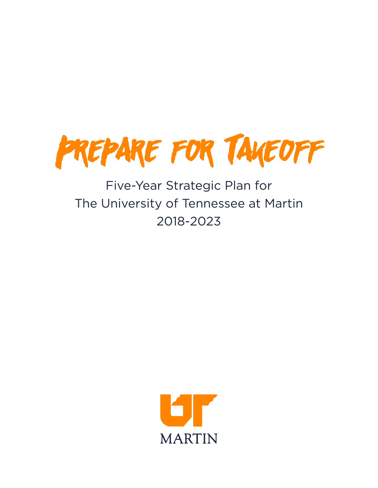Prepare for Takeoff

# Five-Year Strategic Plan for The University of Tennessee at Martin 2018-2023

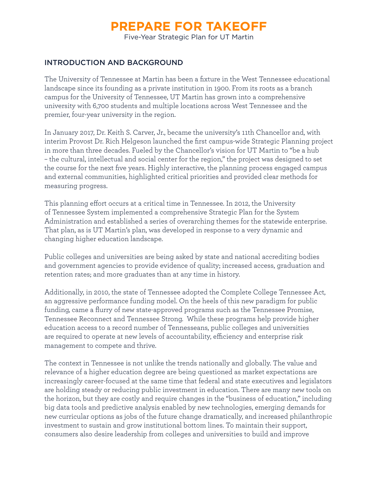Five-Year Strategic Plan for UT Martin

#### INTRODUCTION AND BACKGROUND

The University of Tennessee at Martin has been a fixture in the West Tennessee educational landscape since its founding as a private institution in 1900. From its roots as a branch campus for the University of Tennessee, UT Martin has grown into a comprehensive university with 6,700 students and multiple locations across West Tennessee and the premier, four-year university in the region.

In January 2017, Dr. Keith S. Carver, Jr., became the university's 11th Chancellor and, with interim Provost Dr. Rich Helgeson launched the first campus-wide Strategic Planning project in more than three decades. Fueled by the Chancellor's vision for UT Martin to "be a hub – the cultural, intellectual and social center for the region," the project was designed to set the course for the next five years. Highly interactive, the planning process engaged campus and external communities, highlighted critical priorities and provided clear methods for measuring progress.

This planning effort occurs at a critical time in Tennessee. In 2012, the University of Tennessee System implemented a comprehensive Strategic Plan for the System Administration and established a series of overarching themes for the statewide enterprise. That plan, as is UT Martin's plan, was developed in response to a very dynamic and changing higher education landscape.

Public colleges and universities are being asked by state and national accrediting bodies and government agencies to provide evidence of quality; increased access, graduation and retention rates; and more graduates than at any time in history.

Additionally, in 2010, the state of Tennessee adopted the Complete College Tennessee Act, an aggressive performance funding model. On the heels of this new paradigm for public funding, came a flurry of new state-approved programs such as the Tennessee Promise, Tennessee Reconnect and Tennessee Strong. While these programs help provide higher education access to a record number of Tennesseans, public colleges and universities are required to operate at new levels of accountability, efficiency and enterprise risk management to compete and thrive.

The context in Tennessee is not unlike the trends nationally and globally. The value and relevance of a higher education degree are being questioned as market expectations are increasingly career-focused at the same time that federal and state executives and legislators are holding steady or reducing public investment in education. There are many new tools on the horizon, but they are costly and require changes in the "business of education," including big data tools and predictive analysis enabled by new technologies, emerging demands for new curricular options as jobs of the future change dramatically, and increased philanthropic investment to sustain and grow institutional bottom lines. To maintain their support, consumers also desire leadership from colleges and universities to build and improve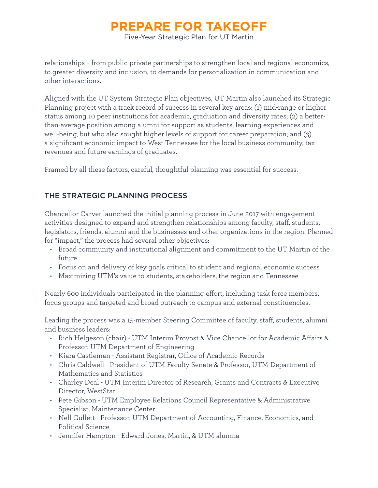Five-Year Strategic Plan for UT Martin

relationships – from public-private partnerships to strengthen local and regional economics, to greater diversity and inclusion, to demands for personalization in communication and other interactions.

Aligned with the UT System Strategic Plan objectives, UT Martin also launched its Strategic Planning project with a track record of success in several key areas: (1) mid-range or higher status among 10 peer institutions for academic, graduation and diversity rates; (2) a betterthan-average position among alumni for support as students, learning experiences and well-being, but who also sought higher levels of support for career preparation; and (3) a significant economic impact to West Tennessee for the local business community, tax revenues and future earnings of graduates.

Framed by all these factors, careful, thoughtful planning was essential for success.

#### THE STRATEGIC PLANNING PROCESS

Chancellor Carver launched the initial planning process in June 2017 with engagement activities designed to expand and strengthen relationships among faculty, staff, students, legislators, friends, alumni and the businesses and other organizations in the region. Planned for "impact," the process had several other objectives:

- Broad community and institutional alignment and commitment to the UT Martin of the future
- Focus on and delivery of key goals critical to student and regional economic success
- Maximizing UTM's value to students, stakeholders, the region and Tennessee

Nearly 600 individuals participated in the planning effort, including task force members, focus groups and targeted and broad outreach to campus and external constituencies.

Leading the process was a 15-member Steering Committee of faculty, staff, students, alumni and business leaders:

- Rich Helgeson (chair) UTM Interim Provost & Vice Chancellor for Academic Affairs & Professor, UTM Department of Engineering
- Kiara Castleman Assistant Registrar, Office of Academic Records
- Chris Caldwell President of UTM Faculty Senate & Professor, UTM Department of Mathematics and Statistics
- Charley Deal UTM Interim Director of Research, Grants and Contracts & Executive Director, WestStar
- Pete Gibson UTM Employee Relations Council Representative & Administrative Specialist, Maintenance Center
- Nell Gullett Professor, UTM Department of Accounting, Finance, Economics, and Political Science
- Jennifer Hampton Edward Jones, Martin, & UTM alumna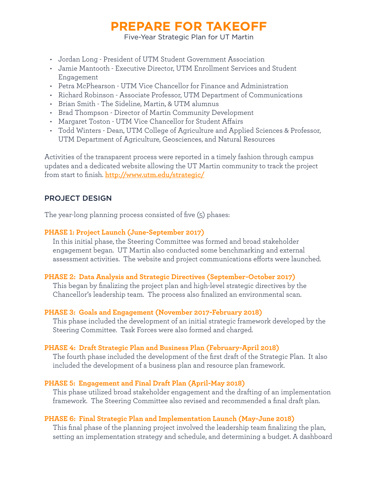Five-Year Strategic Plan for UT Martin

- Jordan Long President of UTM Student Government Association
- Jamie Mantooth Executive Director, UTM Enrollment Services and Student Engagement
- Petra McPhearson UTM Vice Chancellor for Finance and Administration
- Richard Robinson Associate Professor, UTM Department of Communications
- Brian Smith The Sideline, Martin, & UTM alumnus
- Brad Thompson Director of Martin Community Development
- Margaret Toston UTM Vice Chancellor for Student Affairs
- Todd Winters Dean, UTM College of Agriculture and Applied Sciences & Professor, UTM Department of Agriculture, Geosciences, and Natural Resources

Activities of the transparent process were reported in a timely fashion through campus updates and a dedicated website allowing the UT Martin community to track the project from start to finish. **http://www.utm.edu/strategic/**

#### PROJECT DESIGN

The year-long planning process consisted of five (5) phases:

#### **PHASE 1: Project Launch (June-September 2017)**

In this initial phase, the Steering Committee was formed and broad stakeholder engagement began. UT Martin also conducted some benchmarking and external assessment activities. The website and project communications efforts were launched.

#### **PHASE 2: Data Analysis and Strategic Directives (September-October 2017)**

This began by finalizing the project plan and high-level strategic directives by the Chancellor's leadership team. The process also finalized an environmental scan.

#### **PHASE 3: Goals and Engagement (November 2017-February 2018)**

This phase included the development of an initial strategic framework developed by the Steering Committee. Task Forces were also formed and charged.

#### **PHASE 4: Draft Strategic Plan and Business Plan (February-April 2018)**

The fourth phase included the development of the first draft of the Strategic Plan. It also included the development of a business plan and resource plan framework.

#### **PHASE 5: Engagement and Final Draft Plan (April-May 2018)**

This phase utilized broad stakeholder engagement and the drafting of an implementation framework. The Steering Committee also revised and recommended a final draft plan.

#### **PHASE 6: Final Strategic Plan and Implementation Launch (May-June 2018)**

This final phase of the planning project involved the leadership team finalizing the plan, setting an implementation strategy and schedule, and determining a budget. A dashboard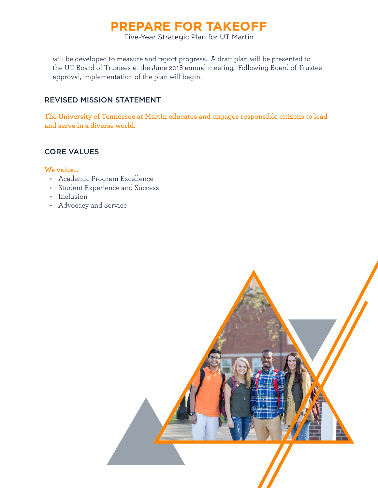Five-Year Strategic Plan for UT Martin

will be developed to measure and report progress. A draft plan will be presented to the UT Board of Trustees at the June 2018 annual meeting. Following Board of Trustee approval, implementation of the plan will begin.

#### REVISED MISSION STATEMENT

**The University of Tennessee at Martin educates and engages responsible citizens to lead and serve in a diverse world.**

#### CORE VALUES

#### **We value…**

- Academic Program Excellence
- Student Experience and Success
- Inclusion
- Advocacy and Service

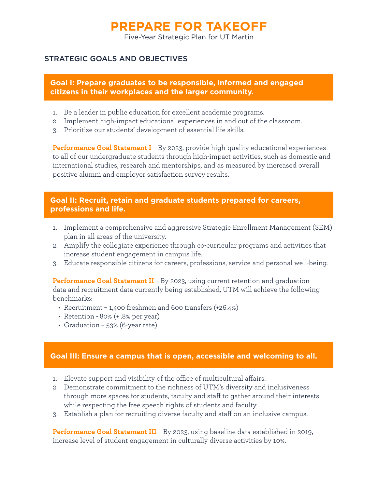Five-Year Strategic Plan for UT Martin

#### STRATEGIC GOALS AND OBJECTIVES

**Goal I: Prepare graduates to be responsible, informed and engaged citizens in their workplaces and the larger community.**

- 1. Be a leader in public education for excellent academic programs.
- 2. Implement high-impact educational experiences in and out of the classroom.
- 3. Prioritize our students' development of essential life skills.

**Performance Goal Statement I** – By 2023, provide high-quality educational experiences to all of our undergraduate students through high-impact activities, such as domestic and international studies, research and mentorships, and as measured by increased overall positive alumni and employer satisfaction survey results.

#### **Goal II: Recruit, retain and graduate students prepared for careers, professions and life.**

- 1. Implement a comprehensive and aggressive Strategic Enrollment Management (SEM) plan in all areas of the university.
- 2. Amplify the collegiate experience through co-curricular programs and activities that increase student engagement in campus life.
- 3. Educate responsible citizens for careers, professions, service and personal well-being.

**Performance Goal Statement II** - By 2023, using current retention and graduation data and recruitment data currently being established, UTM will achieve the following benchmarks:

- Recruitment 1,400 freshmen and 600 transfers (+26.4%)
- Retention 80% (+ .8% per year)
- Graduation 53% (6-year rate)

#### **Goal III: Ensure a campus that is open, accessible and welcoming to all.**

- 1. Elevate support and visibility of the office of multicultural affairs.
- 2. Demonstrate commitment to the richness of UTM's diversity and inclusiveness through more spaces for students, faculty and staff to gather around their interests while respecting the free speech rights of students and faculty.
- 3. Establish a plan for recruiting diverse faculty and staff on an inclusive campus.

**Performance Goal Statement III** – By 2023, using baseline data established in 2019, increase level of student engagement in culturally diverse activities by 10%.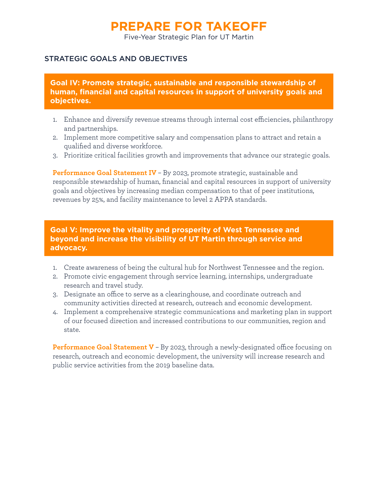Five-Year Strategic Plan for UT Martin

#### STRATEGIC GOALS AND OBJECTIVES

**Goal IV: Promote strategic, sustainable and responsible stewardship of human, financial and capital resources in support of university goals and objectives.**

- 1. Enhance and diversify revenue streams through internal cost efficiencies, philanthropy and partnerships.
- 2. Implement more competitive salary and compensation plans to attract and retain a qualified and diverse workforce.
- 3. Prioritize critical facilities growth and improvements that advance our strategic goals.

**Performance Goal Statement IV** - By 2023, promote strategic, sustainable and responsible stewardship of human, financial and capital resources in support of university goals and objectives by increasing median compensation to that of peer institutions, revenues by 25%, and facility maintenance to level 2 APPA standards.

#### **Goal V: Improve the vitality and prosperity of West Tennessee and beyond and increase the visibility of UT Martin through service and advocacy.**

- 1. Create awareness of being the cultural hub for Northwest Tennessee and the region.
- 2. Promote civic engagement through service learning, internships, undergraduate research and travel study.
- 3. Designate an office to serve as a clearinghouse, and coordinate outreach and community activities directed at research, outreach and economic development.
- 4. Implement a comprehensive strategic communications and marketing plan in support of our focused direction and increased contributions to our communities, region and state.

**Performance Goal Statement V** - By 2023, through a newly-designated office focusing on research, outreach and economic development, the university will increase research and public service activities from the 2019 baseline data.